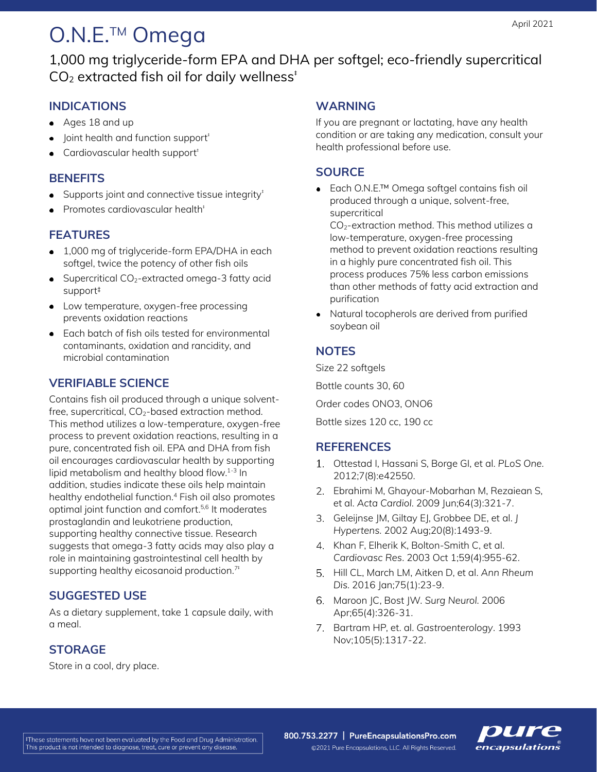# O.N.E.<sup>™</sup> Omega

1,000 mg triglyceride-form EPA and DHA per softgel; eco-friendly supercritical  $CO<sub>2</sub>$  extracted fish oil for daily wellness<sup> $t$ </sup>

## **INDICATIONS**

- Ages 18 and up
- $\bullet$  Joint health and function support<sup> $\dagger$ </sup>
- Cardiovascular health support<sup>#</sup>

## **BENEFITS**

- $\bullet$  Supports joint and connective tissue integrity<sup> $t$ </sup>
- Promotes cardiovascular health<sup>#</sup>

## **FEATURES**

- 1,000 mg of triglyceride-form EPA/DHA in each softgel, twice the potency of other fish oils
- $\bullet$  Supercritical CO<sub>2</sub>-extracted omega-3 fatty acid support‡
- Low temperature, oxygen-free processing prevents oxidation reactions
- Each batch of fish oils tested for environmental contaminants, oxidation and rancidity, and microbial contamination

## **VERIFIABLE SCIENCE**

Contains fish oil produced through a unique solventfree, supercritical,  $CO<sub>2</sub>$ -based extraction method. This method utilizes a low-temperature, oxygen-free process to prevent oxidation reactions, resulting in a pure, concentrated fish oil. EPA and DHA from fish oil encourages cardiovascular health by supporting lipid metabolism and healthy blood flow. 1-3 In addition, studies indicate these oils help maintain healthy endothelial function. <sup>4</sup> Fish oil also promotes optimal joint function and comfort. 5,6 It moderates prostaglandin and leukotriene production, supporting healthy connective tissue. Research suggests that omega-3 fatty acids may also play a role in maintaining gastrointestinal cell health by supporting healthy eicosanoid production.<sup>7‡</sup>

### **SUGGESTED USE**

As a dietary supplement, take 1 capsule daily, with a meal.

## **STORAGE**

Store in a cool, dry place.

#### **WARNING**

If you are pregnant or lactating, have any health condition or are taking any medication, consult your health professional before use.

### **SOURCE**

Each O.N.E.™ Omega softgel contains fish oil produced through a unique, solvent-free, supercritical

CO2-extraction method. This method utilizes a low-temperature, oxygen-free processing method to prevent oxidation reactions resulting in a highly pure concentrated fish oil. This process produces 75% less carbon emissions than other methods of fatty acid extraction and purification

Natural tocopherols are derived from purified soybean oil

## **NOTES**

Size 22 softgels

Bottle counts 30, 60

Order codes ONO3, ONO6

Bottle sizes 120 cc, 190 cc

## **REFERENCES**

- Ottestad I, Hassani S, Borge GI, et al. *PLoS One.* 2012;7(8):e42550.
- Ebrahimi M, Ghayour-Mobarhan M, Rezaiean S, et al. *Acta Cardiol.* 2009 Jun;64(3):321-7.
- Geleijnse JM, Giltay EJ, Grobbee DE, et al. *J Hypertens.* 2002 Aug;20(8):1493-9.
- 4. Khan F, Elherik K, Bolton-Smith C, et al. *Cardiovasc Res*. 2003 Oct 1;59(4):955-62.
- Hill CL, March LM, Aitken D, et al. *Ann Rheum Dis.* 2016 Jan;75(1):23-9.
- Maroon JC, Bost JW. *Surg Neurol.* 2006 Apr;65(4):326-31.
- Bartram HP, et. al. *Gastroenterology*. 1993 Nov;105(5):1317-22.

800.753.2277 | PureEncapsulationsPro.com ©2021 Pure Encapsulations, LLC. All Rights Reserved.